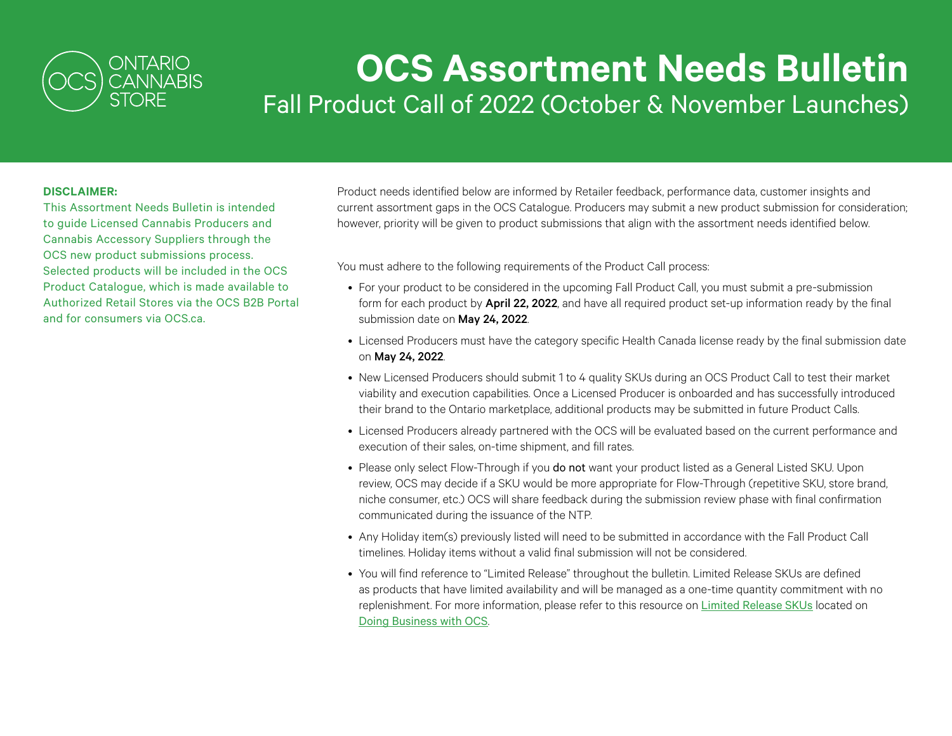

## **OCS Assortment Needs Bulletin** Fall Product Call of 2022 (October & November Launches)

## **DISCLAIMER:**

This Assortment Needs Bulletin is intended to guide Licensed Cannabis Producers and Cannabis Accessory Suppliers through the OCS new product submissions process. Selected products will be included in the OCS Product Catalogue, which is made available to Authorized Retail Stores via the OCS B2B Portal and for consumers via OCS ca.

Product needs identified below are informed by Retailer feedback, performance data, customer insights and current assortment gaps in the OCS Catalogue. Producers may submit a new product submission for consideration; however, priority will be given to product submissions that align with the assortment needs identified below.

You must adhere to the following requirements of the Product Call process:

- For your product to be considered in the upcoming Fall Product Call, you must submit a pre-submission form for each product by April 22, 2022, and have all required product set-up information ready by the final submission date on May 24, 2022.
- Licensed Producers must have the category specific Health Canada license ready by the final submission date on May 24, 2022.
- New Licensed Producers should submit 1 to 4 quality SKUs during an OCS Product Call to test their market viability and execution capabilities. Once a Licensed Producer is onboarded and has successfully introduced their brand to the Ontario marketplace, additional products may be submitted in future Product Calls.
- Licensed Producers already partnered with the OCS will be evaluated based on the current performance and execution of their sales, on-time shipment, and fill rates.
- Please only select Flow-Through if you do not want your product listed as a General Listed SKU. Upon review, OCS may decide if a SKU would be more appropriate for Flow-Through (repetitive SKU, store brand, niche consumer, etc.) OCS will share feedback during the submission review phase with final confirmation communicated during the issuance of the NTP.
- Any Holiday item(s) previously listed will need to be submitted in accordance with the Fall Product Call timelines. Holiday items without a valid final submission will not be considered.
- You will find reference to "Limited Release" throughout the bulletin. Limited Release SKUs are defined as products that have limited availability and will be managed as a one-time quantity commitment with no replenishment. For more information, please refer to this resource on [Limited Release SKUs](https://learn.ocswholesale.ca/wp-content/uploads/2022/02/ProductCall-LimitedReleaseSKUs_Feb2022.pdf) located on [Doing Business with OCS](https://www.doingbusinesswithocs.ca/).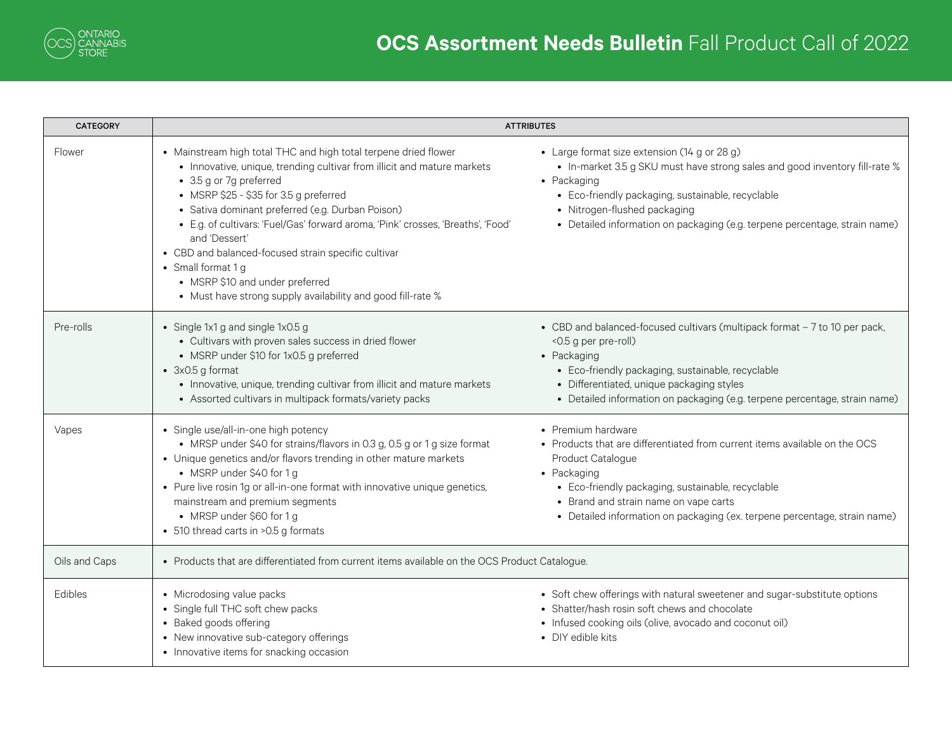

| <b>CATEGORY</b> | <b>ATTRIBUTES</b>                                                                                                                                                                                                                                                                                                                                                                                                                                                                                                                                       |                                                                                                                                                                                                                                                                                                                 |
|-----------------|---------------------------------------------------------------------------------------------------------------------------------------------------------------------------------------------------------------------------------------------------------------------------------------------------------------------------------------------------------------------------------------------------------------------------------------------------------------------------------------------------------------------------------------------------------|-----------------------------------------------------------------------------------------------------------------------------------------------------------------------------------------------------------------------------------------------------------------------------------------------------------------|
| Flower          | • Mainstream high total THC and high total terpene dried flower<br>• Innovative, unique, trending cultivar from illicit and mature markets<br>• 3.5 g or 7g preferred<br>• MSRP \$25 - \$35 for 3.5 g preferred<br>• Sativa dominant preferred (e.g. Durban Poison)<br>• E.g. of cultivars: 'Fuel/Gas' forward aroma, 'Pink' crosses, 'Breaths', 'Food'<br>and 'Dessert'<br>• CBD and balanced-focused strain specific cultivar<br>• Small format 1 g<br>• MSRP \$10 and under preferred<br>• Must have strong supply availability and good fill-rate % | • Large format size extension (14 g or 28 g)<br>• In-market 3.5 g SKU must have strong sales and good inventory fill-rate %<br>• Packaging<br>• Eco-friendly packaging, sustainable, recyclable<br>• Nitrogen-flushed packaging<br>• Detailed information on packaging (e.g. terpene percentage, strain name)   |
| Pre-rolls       | • Single 1x1 g and single 1x0.5 g<br>• Cultivars with proven sales success in dried flower<br>• MSRP under \$10 for 1x0.5 g preferred<br>$\bullet$ 3x0.5 g format<br>• Innovative, unique, trending cultivar from illicit and mature markets<br>• Assorted cultivars in multipack formats/variety packs                                                                                                                                                                                                                                                 | • CBD and balanced-focused cultivars (multipack format - 7 to 10 per pack,<br><0.5 g per pre-roll)<br>• Packaging<br>• Eco-friendly packaging, sustainable, recyclable<br>• Differentiated, unique packaging styles<br>• Detailed information on packaging (e.g. terpene percentage, strain name)               |
| Vapes           | • Single use/all-in-one high potency<br>• MRSP under \$40 for strains/flavors in 0.3 g, 0.5 g or 1 g size format<br>• Unique genetics and/or flavors trending in other mature markets<br>• MSRP under \$40 for 1 g<br>• Pure live rosin 1g or all-in-one format with innovative unique genetics,<br>mainstream and premium segments<br>• MRSP under \$60 for 1 g<br>• 510 thread carts in >0.5 g formats                                                                                                                                                | • Premium hardware<br>• Products that are differentiated from current items available on the OCS<br>Product Catalogue<br>• Packaging<br>• Eco-friendly packaging, sustainable, recyclable<br>• Brand and strain name on vape carts<br>• Detailed information on packaging (ex. terpene percentage, strain name) |
| Oils and Caps   | • Products that are differentiated from current items available on the OCS Product Catalogue.                                                                                                                                                                                                                                                                                                                                                                                                                                                           |                                                                                                                                                                                                                                                                                                                 |
| Edibles         | • Microdosing value packs<br>• Single full THC soft chew packs<br>• Baked goods offering<br>• New innovative sub-category offerings<br>• Innovative items for snacking occasion                                                                                                                                                                                                                                                                                                                                                                         | • Soft chew offerings with natural sweetener and sugar-substitute options<br>• Shatter/hash rosin soft chews and chocolate<br>• Infused cooking oils (olive, avocado and coconut oil)<br>• DIY edible kits                                                                                                      |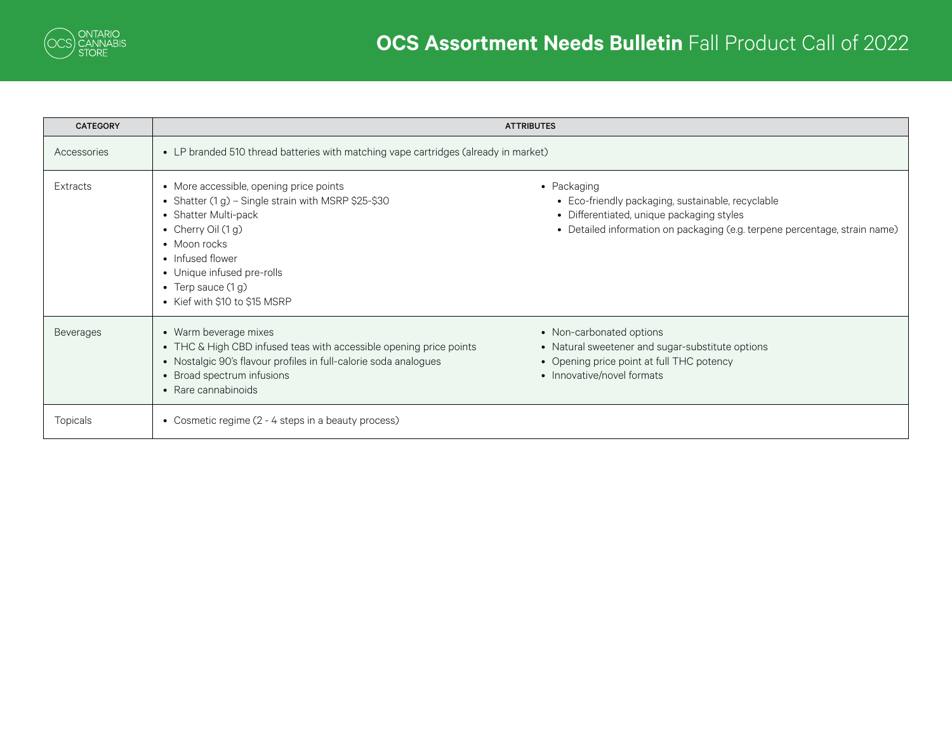

| <b>CATEGORY</b>  | <b>ATTRIBUTES</b>                                                                                                                                                                                                                                                         |                                                                                                                                                                                             |
|------------------|---------------------------------------------------------------------------------------------------------------------------------------------------------------------------------------------------------------------------------------------------------------------------|---------------------------------------------------------------------------------------------------------------------------------------------------------------------------------------------|
| Accessories      | • LP branded 510 thread batteries with matching vape cartridges (already in market)                                                                                                                                                                                       |                                                                                                                                                                                             |
| <b>Extracts</b>  | • More accessible, opening price points<br>• Shatter (1 g) - Single strain with MSRP \$25-\$30<br>• Shatter Multi-pack<br>• Cherry Oil $(1 g)$<br>• Moon rocks<br>• Infused flower<br>• Unique infused pre-rolls<br>• Terp sauce $(1 g)$<br>• Kief with \$10 to \$15 MSRP | • Packaging<br>• Eco-friendly packaging, sustainable, recyclable<br>• Differentiated, unique packaging styles<br>• Detailed information on packaging (e.g. terpene percentage, strain name) |
| <b>Beverages</b> | • Warm beverage mixes<br>• THC & High CBD infused teas with accessible opening price points<br>• Nostalgic 90's flavour profiles in full-calorie soda analogues<br>• Broad spectrum infusions<br>• Rare cannabinoids                                                      | • Non-carbonated options<br>• Natural sweetener and sugar-substitute options<br>• Opening price point at full THC potency<br>• Innovative/novel formats                                     |
| Topicals         | • Cosmetic regime (2 - 4 steps in a beauty process)                                                                                                                                                                                                                       |                                                                                                                                                                                             |